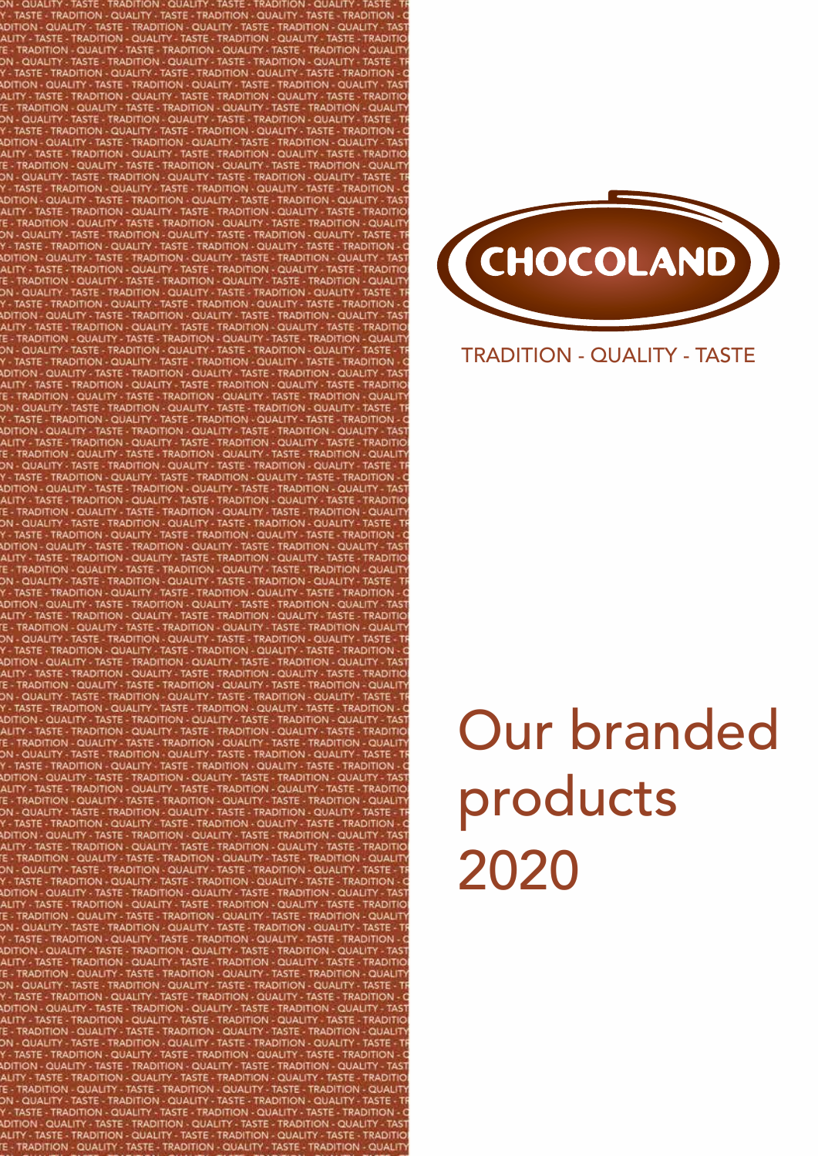- TRADITION TASTE **TASTE - TRADITION QUALIT** - TASTE - TRA - TASTE - TRADITION QUALITY - QUALITY TASTE - TRADITI - QUALIT **TRADITION TASTE RADITIO** - QUALITY QUALITY - TASTE - TRADITIO **TRADITION OUALIT QUALITY-**TASTE - TRADIT **ISTE RADITION - OUALIT** - TRADITION **OUALIT** QUALITY TASTE - TF **TION** QUALIT QUALIT - QUALITY **QUALIT** ASTE-**TRADITION OUALIT** QUALIT **QUALIT** . TASTE **OHALLT**  $-$  OUALL **QUALIT** CUALIT QUALITY OUALITY -**HON - QUALITY OUAHT** TASTE  $O$ UALIT *RADITION* N - OUALITY **OHALIT LETASTE** TRADITI **TRADITION OUALIT** TASTE **TRADITIC TRADITION - OLIALITY.** TASTE **QUALITY** *RADITION* **OHALIT OLIALIT** TASTE-*FRADITION* **RADITION - QUALIT QUALITY - TASTE** *RADITION* - OHALITY **RADITION - OUALITY** OHALL **TRADITIO** OUALIT



# TRADITION - QUALITY - TASTE

# Our branded products 2020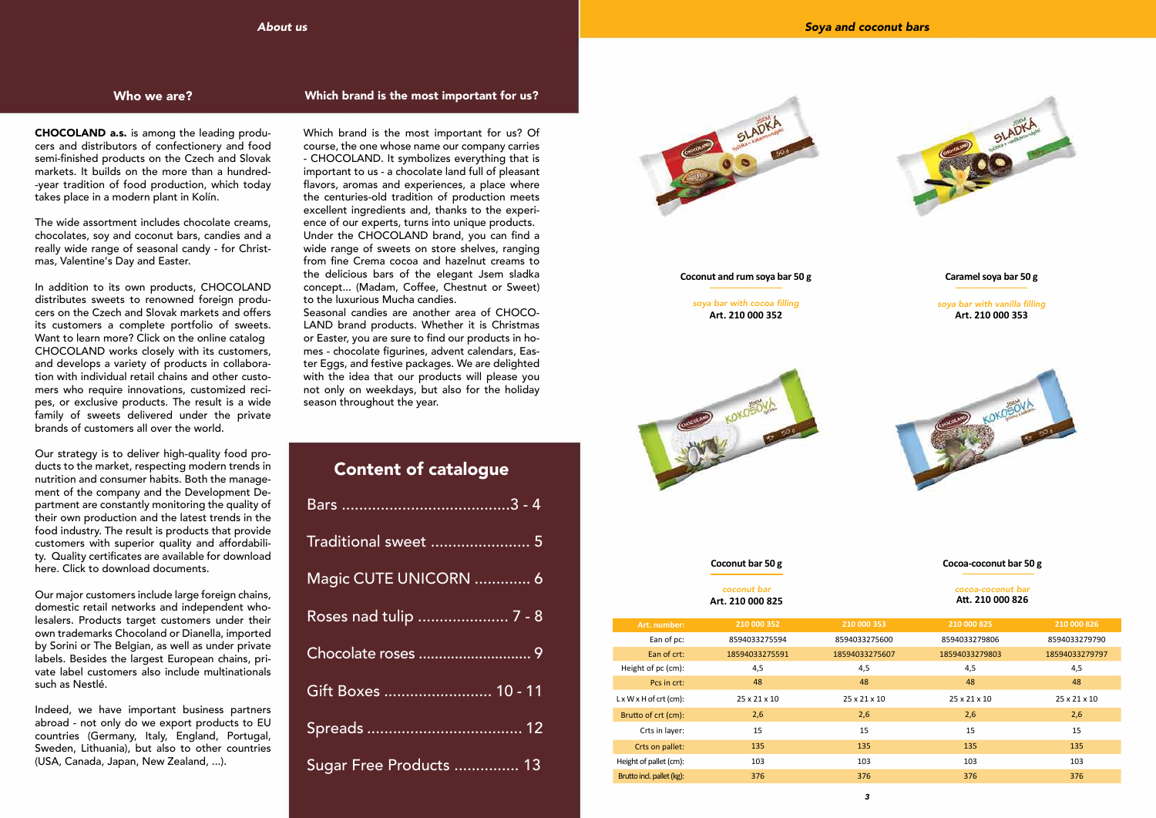# *About us*

CHOCOLAND a.s. is among the leading producers and distributors of confectionery and food semi-finished products on the Czech and Slovak markets. It builds on the more than a hundred- -year tradition of food production, which today takes place in a modern plant in Kolín.

The wide assortment includes chocolate creams, chocolates, soy and coconut bars, candies and a really wide range of seasonal candy - for Christmas, Valentine's Day and Easter.

In addition to its own products, CHOCOLAND distributes sweets to renowned foreign producers on the Czech and Slovak markets and offers its customers a complete portfolio of sweets. Want to learn more? Click on the online catalog CHOCOLAND works closely with its customers, and develops a variety of products in collaboration with individual retail chains and other customers who require innovations, customized recipes, or exclusive products. The result is a wide family of sweets delivered under the private brands of customers all over the world.

Our strategy is to deliver high-quality food products to the market, respecting modern trends in nutrition and consumer habits. Both the management of the company and the Development Department are constantly monitoring the quality of their own production and the latest trends in the food industry. The result is products that provide customers with superior quality and affordability. Quality certificates are available for download here. Click to download documents.

Our major customers include large foreign chains, domestic retail networks and independent wholesalers. Products target customers under their own trademarks Chocoland or Dianella, imported by Sorini or The Belgian, as well as under private labels. Besides the largest European chains, private label customers also include multinationals such as Nestlé.

| <b>Content of catalogue</b> |
|-----------------------------|
|                             |
| Traditional sweet  5        |
| Magic CUTE UNICORN  6       |
| Roses nad tulip  7 - 8      |
|                             |
| Gift Boxes  10 - 11         |
|                             |
| Sugar Free Products  13     |



Indeed, we have important business partners abroad - not only do we export products to EU countries (Germany, Italy, England, Portugal, Sweden, Lithuania), but also to other countries (USA, Canada, Japan, New Zealand, ...).

# Who we are? Which brand is the most important for us?

Which brand is the most important for us? Of course, the one whose name our company carries - CHOCOLAND. It symbolizes everything that is important to us - a chocolate land full of pleasant flavors, aromas and experiences, a place where the centuries-old tradition of production meets excellent ingredients and, thanks to the experience of our experts, turns into unique products. Under the CHOCOLAND brand, you can find a wide range of sweets on store shelves, ranging from fine Crema cocoa and hazelnut creams to the delicious bars of the elegant Jsem sladka concept... (Madam, Coffee, Chestnut or Sweet) to the luxurious Mucha candies.

Seasonal candies are another area of CHOCO-LAND brand products. Whether it is Christmas or Easter, you are sure to find our products in homes - chocolate figurines, advent calendars, Easter Eggs, and festive packages. We are delighted with the idea that our products will please you not only on weekdays, but also for the holiday season throughout the year.

| Art. number:                       | 210 000 352              | 210 000 353              | 210 000 825              | 210 000 826              |
|------------------------------------|--------------------------|--------------------------|--------------------------|--------------------------|
| Ean of pc:                         | 8594033275594            | 8594033275600            | 8594033279806            | 8594033279790            |
| Ean of crt:                        | 18594033275591           | 18594033275607           | 18594033279803           | 18594033279797           |
| Height of pc (cm):                 | 4,5                      | 4,5                      | 4,5                      | 4,5                      |
| Pcs in crt:                        | 48                       | 48                       | 48                       | 48                       |
| $L \times W \times H$ of crt (cm): | $25 \times 21 \times 10$ | $25 \times 21 \times 10$ | $25 \times 21 \times 10$ | $25 \times 21 \times 10$ |
| Brutto of crt (cm):                | 2,6                      | 2,6                      | 2,6                      | 2,6                      |
| Crts in layer:                     | 15                       | 15                       | 15                       | 15                       |
| Crts on pallet:                    | 135                      | 135                      | 135                      | 135                      |
| Height of pallet (cm):             | 103                      | 103                      | 103                      | 103                      |
| Brutto incl. pallet (kg):          | 376                      | 376                      | 376                      | 376                      |



soya bar with cocoa filling **Art. 210 000 352**



#### **Coconut and rum soya bar 50 g**

#### coconut bar **Art. 210 000 825**

#### **Coconut bar 50 g**

soya bar with vanilla filling **Art. 210 000 353**



### **Caramel soya bar 50 g**

#### cocoa-coconut bar **Att. 210 000 826**

### **Cocoa-coconut bar 50 g**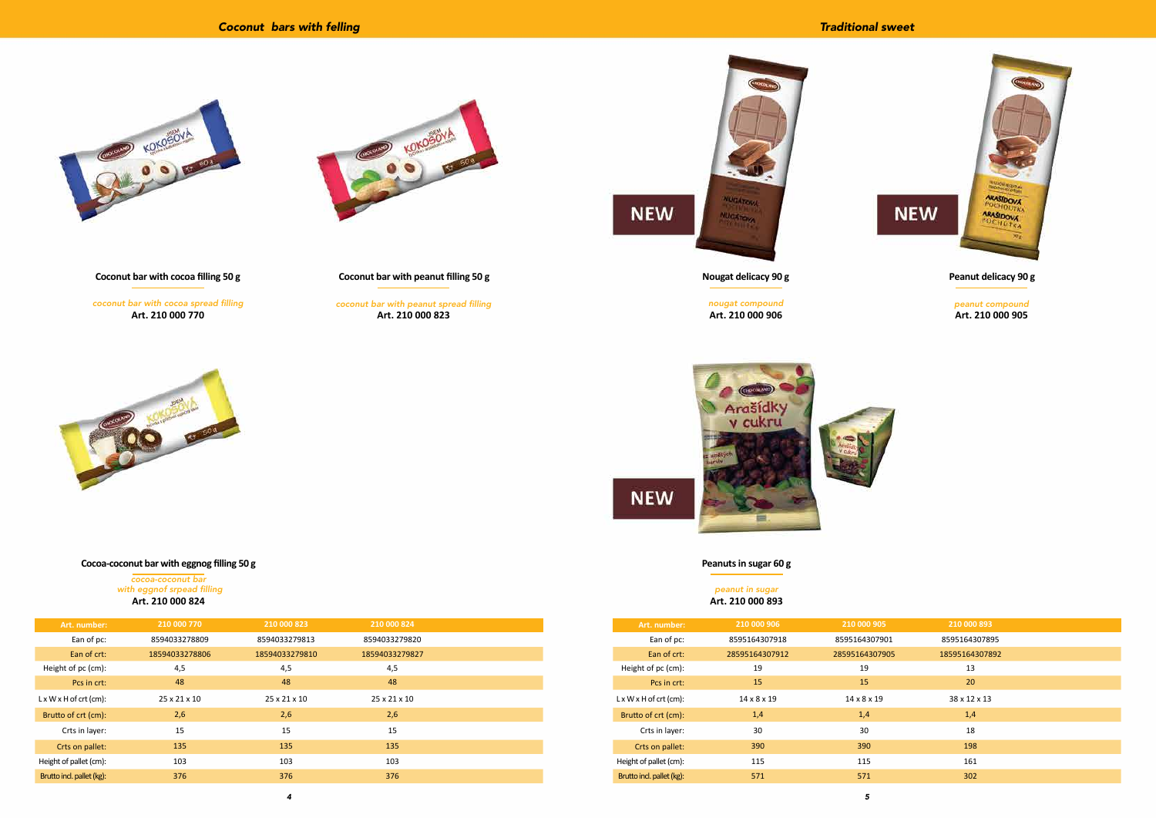| Art. number:                       | 210 000 770    | 210 000 823              | 210 000 824              |  |
|------------------------------------|----------------|--------------------------|--------------------------|--|
| Ean of pc:                         | 8594033278809  | 8594033279813            | 8594033279820            |  |
| Ean of crt:                        | 18594033278806 | 18594033279810           | 18594033279827           |  |
| Height of pc (cm):                 | 4,5            | 4,5                      | 4,5                      |  |
| Pcs in crt:                        | 48             | 48                       | 48                       |  |
| $L \times W \times H$ of crt (cm): | 25 x 21 x 10   | $25 \times 21 \times 10$ | $25 \times 21 \times 10$ |  |
| Brutto of crt (cm):                | 2,6            | 2,6                      | 2,6                      |  |
| Crts in layer:                     | 15             | 15                       | 15                       |  |
| Crts on pallet:                    | 135            | 135                      | 135                      |  |
| Height of pallet (cm):             | 103            | 103                      | 103                      |  |
| Brutto incl. pallet (kg):          | 376            | 376                      | 376                      |  |

*4*

coconut bar with cocoa spread filling **Art. 210 000 770**



**Coconut bar with cocoa filling 50 g**

cocoa-coconut bar with eggnof srpead filling **Art. 210 000 824**

## **Cocoa-coconut bar with eggnog filling 50 g**

coconut bar with peanut spread filling **Art. 210 000 823**



**Coconut bar with peanut filling 50 g**

| Art. number:                       | 210 000 906             | 210 000 905             | 210 000 893    |  |
|------------------------------------|-------------------------|-------------------------|----------------|--|
| Ean of pc:                         | 8595164307918           | 8595164307901           | 8595164307895  |  |
| Ean of crt:                        | 28595164307912          | 28595164307905          | 18595164307892 |  |
| Height of pc (cm):                 | 19                      | 19                      | 13             |  |
| Pcs in crt:                        | 15                      | 15                      | 20             |  |
| $L \times W \times H$ of crt (cm): | $14 \times 8 \times 19$ | $14 \times 8 \times 19$ | 38 x 12 x 13   |  |
| Brutto of crt (cm):                | 1,4                     | 1,4                     | 1,4            |  |
| Crts in layer:                     | 30                      | 30                      | 18             |  |
| Crts on pallet:                    | 390                     | 390                     | 198            |  |
| Height of pallet (cm):             | 115                     | 115                     | 161            |  |
| Brutto incl. pallet (kg):          | 571                     | 571                     | 302            |  |



# *Traditional sweet*



*5*



nougat compound **Art. 210 000 906**



**NEW** 

**NEW** 

**Nougat delicacy 90 g**

peanut in sugar **Art. 210 000 893**

**Peanuts in sugar 60 g**

peanut compound **Art. 210 000 905**



### **Peanut delicacy 90 g**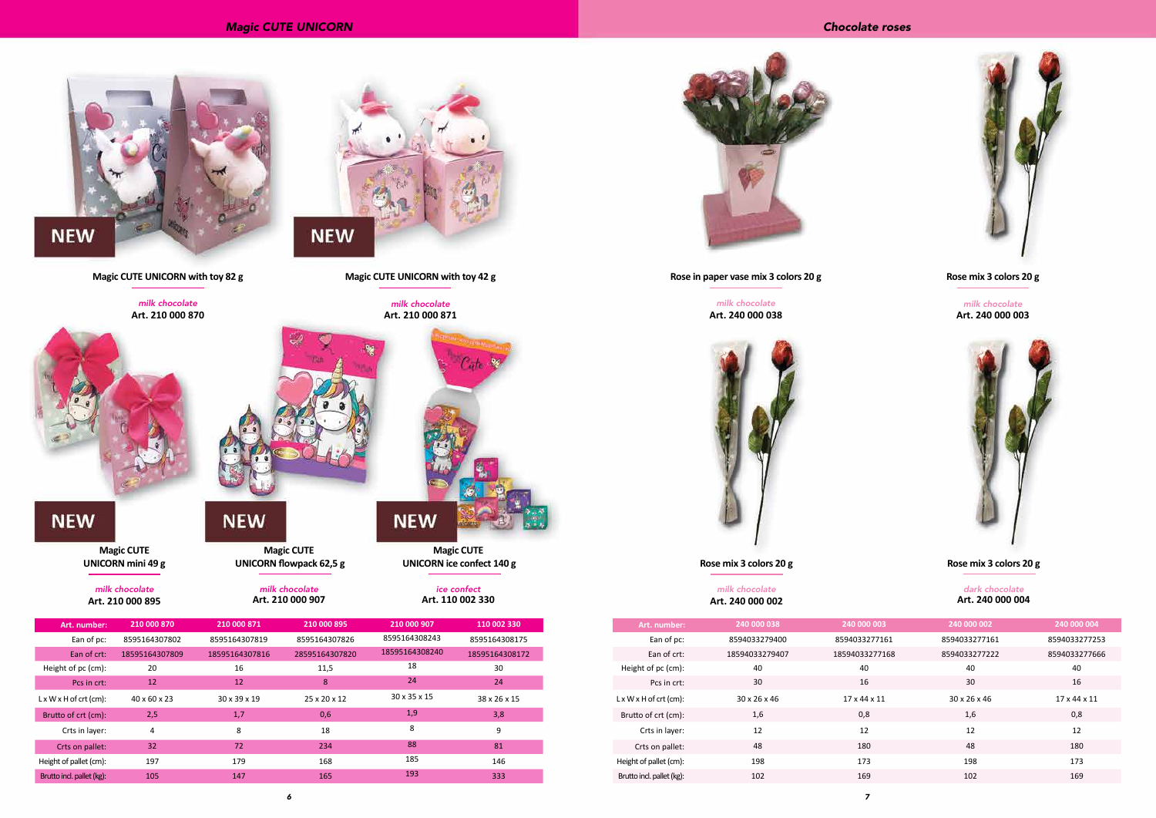*6*



| 003   | 240 000 002   | 240 000 004   |
|-------|---------------|---------------|
| 7161  | 8594033277161 | 8594033277253 |
| 77168 | 8594033277222 | 8594033277666 |
|       | 40            | 40            |
|       | 30            | 16            |
| 11    | 30 x 26 x 46  | 17 x 44 x 11  |
|       | 1,6           | 0,8           |
|       | 12            | 12            |
|       | 48            | 180           |
|       | 198           | 173           |
|       | 102           | 169           |

milk chocolate **Art. 240 000 003**





**Rose mix 3 colors 20 g**

#### dark chocolate **Art. 240 000 004**

### **Rose mix 3 colors 20 g**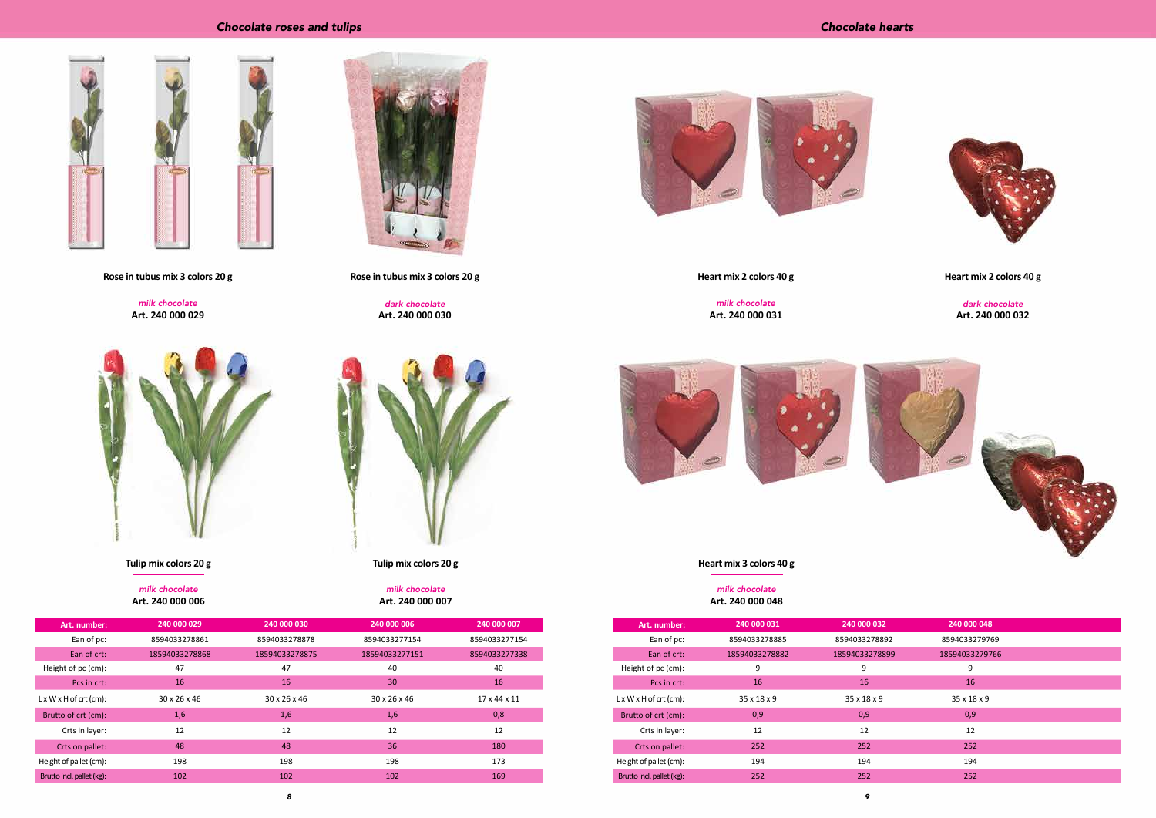| Art. number:                       | 240 000 029              | 240 000 030              | 240 000 006              | 240 000 007              |
|------------------------------------|--------------------------|--------------------------|--------------------------|--------------------------|
| Ean of pc:                         | 8594033278861            | 8594033278878            | 8594033277154            | 8594033277154            |
| Ean of crt:                        | 18594033278868           | 18594033278875           | 18594033277151           | 8594033277338            |
| Height of pc (cm):                 | 47                       | 47                       | 40                       | 40                       |
| Pcs in crt:                        | 16                       | 16                       | 30                       | 16                       |
| $L \times W \times H$ of crt (cm): | $30 \times 26 \times 46$ | $30 \times 26 \times 46$ | $30 \times 26 \times 46$ | $17 \times 44 \times 11$ |
| Brutto of crt (cm):                | 1,6                      | 1,6                      | 1,6                      | 0,8                      |
| Crts in layer:                     | 12                       | 12                       | 12                       | 12                       |
| Crts on pallet:                    | 48                       | 48                       | 36                       | 180                      |
| Height of pallet (cm):             | 198                      | 198                      | 198                      | 173                      |
| Brutto incl. pallet (kg):          | 102                      | 102                      | 102                      | 169                      |

# *Chocolate roses and tulips*





*8*



milk chocolate **Art. 240 000 029**





milk chocolate **Art. 240 000 006**



**Tulip mix colors 20 g**

dark chocolate **Art. 240 000 030**



**Rose in tubus mix 3 colors 20 g**

milk chocolate **Art. 240 000 007**

**Tulip mix colors 20 g**

| Art. number:                       | 240 000 031             | 240 000 032             | 240 000 048             |
|------------------------------------|-------------------------|-------------------------|-------------------------|
| Ean of pc:                         | 8594033278885           | 8594033278892           | 8594033279769           |
| Ean of crt:                        | 18594033278882          | 18594033278899          | 18594033279766          |
| Height of pc (cm):                 | 9                       | 9                       | 9                       |
| Pcs in crt:                        | 16                      | 16                      | 16                      |
| $L \times W \times H$ of crt (cm): | $35 \times 18 \times 9$ | $35 \times 18 \times 9$ | $35 \times 18 \times 9$ |
| Brutto of crt (cm):                | 0,9                     | 0,9                     | 0,9                     |
| Crts in layer:                     | 12                      | 12                      | 12                      |
| Crts on pallet:                    | 252                     | 252                     | 252                     |
| Height of pallet (cm):             | 194                     | 194                     | 194                     |
| Brutto incl. pallet (kg):          | 252                     | 252                     | 252                     |

# *Chocolate hearts*



milk chocolate **Art. 240 000 031**



**Heart mix 2 colors 40 g**

milk chocolate **Art. 240 000 048**

**Heart mix 3 colors 40 g**

dark chocolate **Art. 240 000 032**

**Heart mix 2 colors 40 g**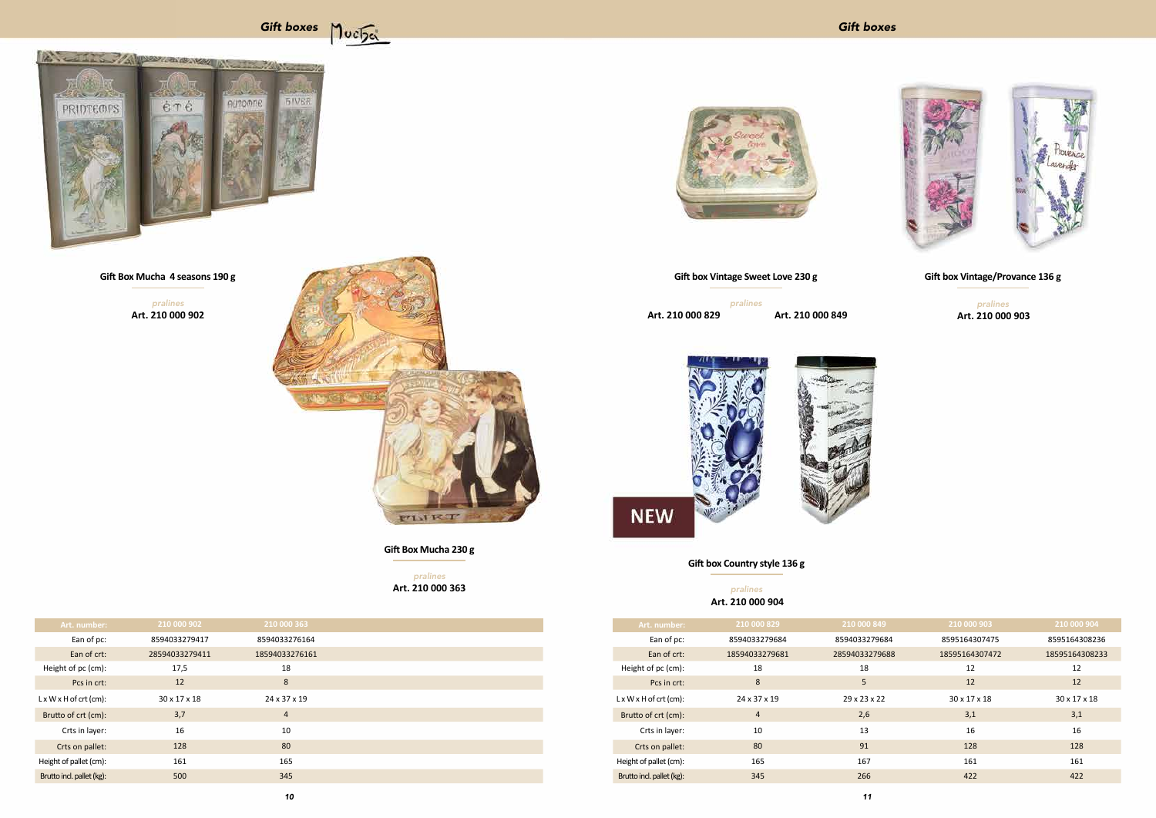| Art. number:                       | 210 000 902    | 210 000 363    |
|------------------------------------|----------------|----------------|
| Ean of pc:                         | 8594033279417  | 8594033276164  |
| Ean of crt:                        | 28594033279411 | 18594033276161 |
| Height of pc (cm):                 | 17,5           | 18             |
| Pcs in crt:                        | 12             | 8              |
| $L \times W \times H$ of crt (cm): | 30 x 17 x 18   | 24 x 37 x 19   |
| Brutto of crt (cm):                | 3,7            | $\overline{4}$ |
| Crts in layer:                     | 16             | 10             |
| Crts on pallet:                    | 128            | 80             |
| Height of pallet (cm):             | 161            | 165            |
| Brutto incl. pallet (kg):          | 500            | 345            |



pralines **Art. 210 000 902**



**Gift Box Mucha 4 seasons 190 g**

pralines **Art. 210 000 363**

# **Gift Box Mucha 230 g**

| Art. number:                       | 210 000 829    | 210 000 849    | 210 000 903    | 210 000 904              |
|------------------------------------|----------------|----------------|----------------|--------------------------|
| Ean of pc:                         | 8594033279684  | 8594033279684  | 8595164307475  | 8595164308236            |
| Ean of crt:                        | 18594033279681 | 28594033279688 | 18595164307472 | 18595164308233           |
| Height of pc (cm):                 | 18             | 18             | 12             | 12                       |
| Pcs in crt:                        | 8              | 5              | 12             | 12                       |
| $L \times W \times H$ of crt (cm): | 24 x 37 x 19   | 29 x 23 x 22   | 30 x 17 x 18   | $30 \times 17 \times 18$ |
| Brutto of crt (cm):                | $\overline{4}$ | 2,6            | 3,1            | 3,1                      |
| Crts in layer:                     | 10             | 13             | 16             | 16                       |
| Crts on pallet:                    | 80             | 91             | 128            | 128                      |
| Height of pallet (cm):             | 165            | 167            | 161            | 161                      |
| Brutto incl. pallet (kg):          | 345            | 266            | 422            | 422                      |







pralines **Art. 210 000 829**

# **Gift box Vintage Sweet Love 230 g**

**Art. 210 000 903** pralines

## **Gift box Country style 136 g**

pralines **Art. 210 000 904**

**Art. 210 000 849**



**Gift box Vintage/Provance 136 g**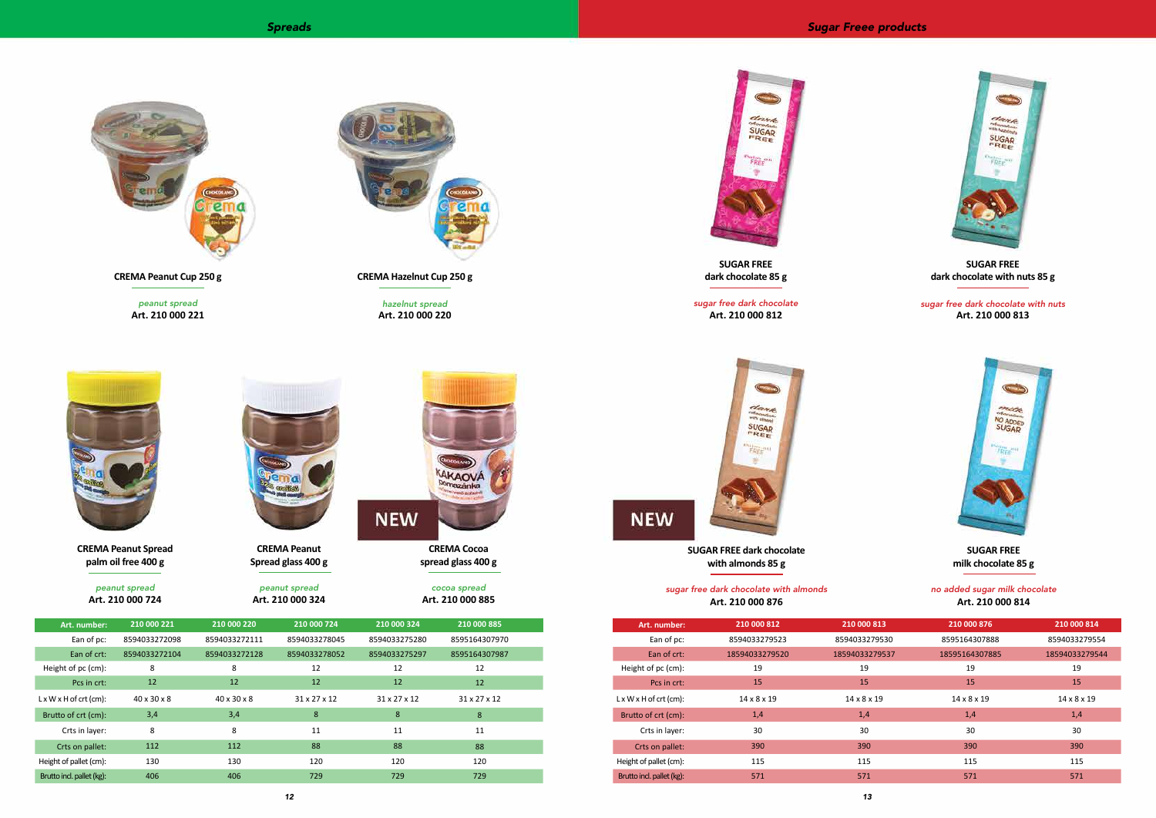



peanut spread **Art. 210 000 221**

**CREMA Peanut Cup 250 g**

peanut spread **Art. 210 000 724**

**CREMA Peanut Spread palm oil free 400 g**



hazelnut spread **Art. 210 000 220**

**NEW** 



**CREMA Hazelnut Cup 250 g**

peanut spread **Art. 210 000 324**

**CREMA Peanut Spread glass 400 g**

> cocoa spread **Art. 210 000 885**

> **CREMA Cocoa spread glass 400 g**

AKAOVÁ **Pomazánka** 

| Art. number:                       | 210 000 812             | 210 000 813             | 210 000 876             | 210 000 814             |
|------------------------------------|-------------------------|-------------------------|-------------------------|-------------------------|
| Ean of pc:                         | 8594033279523           | 8594033279530           | 8595164307888           | 8594033279554           |
| Ean of crt:                        | 18594033279520          | 18594033279537          | 18595164307885          | 18594033279544          |
| Height of pc (cm):                 | 19                      | 19                      | 19                      | 19                      |
| Pcs in crt:                        | 15                      | 15                      | 15                      | 15                      |
| $L \times W \times H$ of crt (cm): | $14 \times 8 \times 19$ | $14 \times 8 \times 19$ | $14 \times 8 \times 19$ | $14 \times 8 \times 19$ |
| Brutto of crt (cm):                | 1,4                     | 1,4                     | 1,4                     | 1,4                     |
| Crts in layer:                     | 30                      | 30                      | 30                      | 30                      |
| Crts on pallet:                    | 390                     | 390                     | 390                     | 390                     |
| Height of pallet (cm):             | 115                     | 115                     | 115                     | 115                     |
| Brutto incl. pallet (kg):          | 571                     | 571                     | 571                     | 571                     |



**NEW** 



sugar free dark chocolate **Art. 210 000 812**



**SUGAR FREE dark chocolate 85 g**

#### sugar free dark chocolate with almonds **Art. 210 000 876**

**SUGAR FREE dark chocolate with almonds 85 g**

sugar free dark chocolate with nuts **Art. 210 000 813**



# **SUGAR FREE dark chocolate with nuts 85 g**

### no added sugar milk chocolate **Art. 210 000 814**

## **SUGAR FREE milk chocolate 85 g**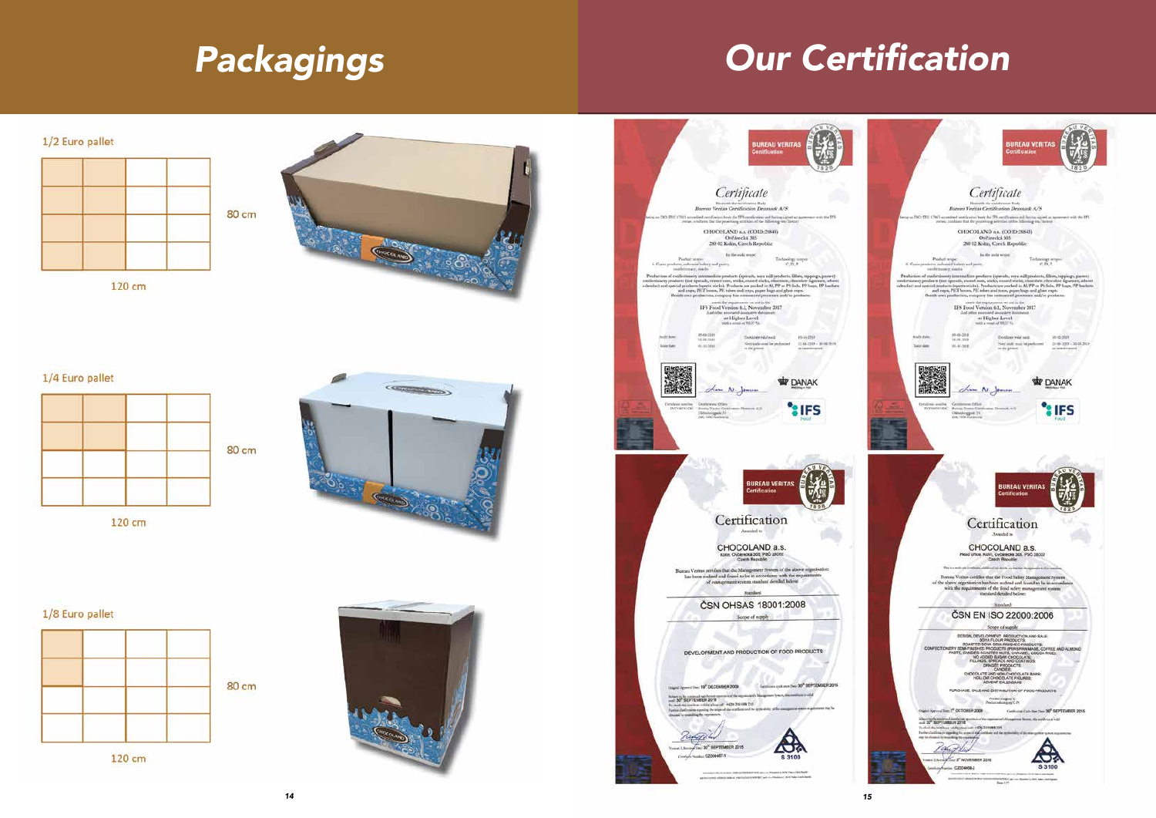# *Packagings*

# Our Certification



120 cm



# 1/4 Euro pallet



120 cm



# 1/8 Euro pallet



120 cm

![](_page_7_Picture_12.jpeg)

![](_page_7_Picture_16.jpeg)

![](_page_7_Picture_13.jpeg)